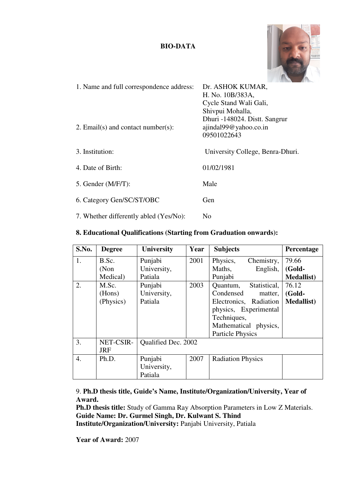### **BIO-DATA**



| 1. Name and full correspondence address:<br>2. Email(s) and contact number(s): | Dr. ASHOK KUMAR,<br>H. No. 10B/383A,<br>Cycle Stand Wali Gali,<br>Shivpui Mohalla,<br>Dhuri -148024. Distt. Sangrur<br>ajindal99@yahoo.co.in |
|--------------------------------------------------------------------------------|----------------------------------------------------------------------------------------------------------------------------------------------|
| 3. Institution:                                                                | 09501022643<br>University College, Benra-Dhuri.                                                                                              |
| 4. Date of Birth:                                                              | 01/02/1981                                                                                                                                   |
| 5. Gender $(M/F/T)$ :                                                          | Male                                                                                                                                         |
| 6. Category Gen/SC/ST/OBC                                                      | <b>Gen</b>                                                                                                                                   |
| 7. Whether differently abled (Yes/No):                                         | N <sub>0</sub>                                                                                                                               |

| S.No.            | <b>Degree</b> | <b>University</b>   | Year | <b>Subjects</b>          |                        | Percentage         |
|------------------|---------------|---------------------|------|--------------------------|------------------------|--------------------|
| 1.               | B.Sc.         | Punjabi             | 2001 | Physics,                 | Chemistry,             | 79.66              |
|                  | (Non)         | University,         |      | Maths,                   | English,               | (Gold-             |
|                  | Medical)      | Patiala             |      | Punjabi                  |                        | <b>Medallist</b> ) |
| $\overline{2}$ . | M.Sc.         | Punjabi             | 2003 | Quantum,                 | Statistical,           | 76.12              |
|                  | (Hons)        | University,         |      | Condensed                | matter,                | (Gold-             |
|                  | (Physics)     | Patiala             |      |                          | Electronics, Radiation | <b>Medallist</b> ) |
|                  |               |                     |      |                          | physics, Experimental  |                    |
|                  |               |                     |      | Techniques,              |                        |                    |
|                  |               |                     |      |                          | Mathematical physics,  |                    |
|                  |               |                     |      | <b>Particle Physics</b>  |                        |                    |
| 3.               | NET-CSIR-     | Qualified Dec. 2002 |      |                          |                        |                    |
|                  | <b>JRF</b>    |                     |      |                          |                        |                    |
| 4.               | Ph.D.         | Punjabi             | 2007 | <b>Radiation Physics</b> |                        |                    |
|                  |               | University,         |      |                          |                        |                    |
|                  |               | Patiala             |      |                          |                        |                    |

### **8. Educational Qualifications (Starting from Graduation onwards):**

9. **Ph.D thesis title, Guide's Name, Institute/Organization/University, Year of Award.** 

**Ph.D thesis title:** Study of Gamma Ray Absorption Parameters in Low Z Materials. **Guide Name: Dr. Gurmel Singh, Dr. Kulwant S. Thind Institute/Organization/University:** Panjabi University, Patiala

**Year of Award:** 2007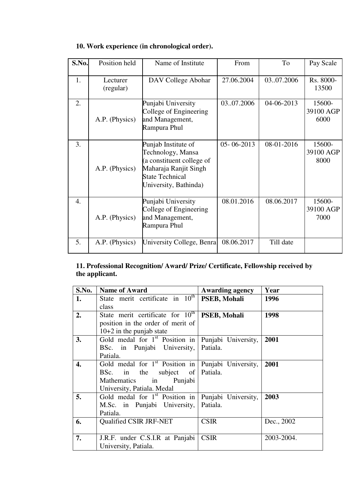| S.No. | Position held         | Name of Institute                                                                                                                                 | From             | To         | Pay Scale                   |
|-------|-----------------------|---------------------------------------------------------------------------------------------------------------------------------------------------|------------------|------------|-----------------------------|
| 1.    | Lecturer<br>(regular) | DAV College Abohar                                                                                                                                | 27.06.2004       | 0307.2006  | Rs. 8000-<br>13500          |
| 2.    | A.P. (Physics)        | Punjabi University<br>College of Engineering<br>and Management,<br>Rampura Phul                                                                   | 0307.2006        | 04-06-2013 | 15600-<br>39100 AGP<br>6000 |
| 3.    | A.P. (Physics)        | Punjab Institute of<br>Technology, Mansa<br>(a constituent college of<br>Maharaja Ranjit Singh<br><b>State Technical</b><br>University, Bathinda) | $05 - 06 - 2013$ | 08-01-2016 | 15600-<br>39100 AGP<br>8000 |
| 4.    | A.P. (Physics)        | Punjabi University<br>College of Engineering<br>and Management,<br>Rampura Phul                                                                   | 08.01.2016       | 08.06.2017 | 15600-<br>39100 AGP<br>7000 |
| 5.    | A.P. (Physics)        | University College, Benra                                                                                                                         | 08.06.2017       | Till date  |                             |

# **10. Work experience (in chronological order).**

# **11. Professional Recognition/ Award/ Prize/ Certificate, Fellowship received by the applicant.**

| S.No. | <b>Name of Award</b>                        | <b>Awarding agency</b> | Year       |
|-------|---------------------------------------------|------------------------|------------|
| 1.    | State merit certificate in $10^{\text{th}}$ | <b>PSEB, Mohali</b>    | 1996       |
|       | class                                       |                        |            |
| 2.    | State merit certificate for $10^{th}$       | PSEB, Mohali           | 1998       |
|       | position in the order of merit of           |                        |            |
|       | $10+2$ in the punjab state                  |                        |            |
| 3.    | Gold medal for $1st$ Position in            | Punjabi University,    | 2001       |
|       | BSc. in Punjabi University,                 | Patiala.               |            |
|       | Patiala.                                    |                        |            |
| 4.    | Gold medal for $1st$ Position in            | Punjabi University,    | 2001       |
|       | BSc. in the subject of                      | Patiala.               |            |
|       | Punjabi<br>Mathematics<br>in                |                        |            |
|       | University, Patiala. Medal                  |                        |            |
| 5.    | Gold medal for $1st$ Position in            | Punjabi University,    | 2003       |
|       | M.Sc. in Punjabi University,                | Patiala.               |            |
|       | Patiala.                                    |                        |            |
| 6.    | Qualified CSIR JRF-NET                      | <b>CSIR</b>            | Dec., 2002 |
|       |                                             |                        |            |
| 7.    | J.R.F. under C.S.I.R at Panjabi             | <b>CSIR</b>            | 2003-2004. |
|       | University, Patiala.                        |                        |            |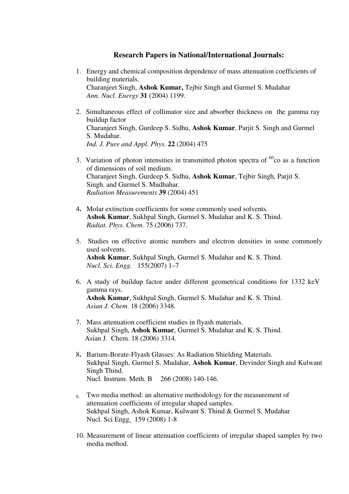### **Research Papers in National/International Journals:**

- 1. Energy and chemical composition dependence of mass attenuation coefficients of building materials. Charanjeet Singh, **Ashok Kumar,** Tejbir Singh and Gurmel S. Mudahar *Ann. Nucl. Energy* **31** (2004) 1199.
- 2. Simultaneous effect of collimator size and absorber thickness on the gamma ray buildup factor Charanjeet Singh, Gurdeep S. Sidhu, **Ashok Kumar**, Parjit S. Singh and Gurmel S. Mudahar. *Ind. J. Pure and Appl. Phys.* **22** (2004) 475
- 3. Variation of photon intensities in transmitted photon spectra of  ${}^{60}$ co as a function of dimensions of soil medium. Charanjeet Singh, Gurdeep S. Sidhu, **Ashok Kumar**, Tejbir Singh, Parjit S. Singh. and Gurmel S. Mudhahar. *Radiation Measurements* **39** (2004) 451
- 4**.** Molar extinction coefficients for some commonly used solvents. **Ashok Kumar**, Sukhpal Singh, Gurmel S. Mudahar and K. S. Thind. *Radiat. Phys. Chem.* 75 (2006) 737.
- 5. Studies on effective atomic numbers and electron densities in some commonly used solvents. **Ashok Kumar**, Sukhpal Singh, Gurmel S. Mudahar and K. S. Thind.  *Nucl. Sci. Engg.* 155(2007) 1–7
- 6. A study of buildup factor under different geometrical conditions for 1332 keV gamma rays. **Ashok Kumar**, Sukhpal Singh, Gurmel S. Mudahar and K. S. Thind.  *Asian J. Chem*. 18 (2006) 3348*.*
- 7. Mass attenuation coefficient studies in flyash materials. Sukhpal Singh, **Ashok Kumar**, Gurmel S. Mudahar and K. S. Thind. Asian J. Chem. 18 (2006) 3314.
- 8**.** Barium-Borate-Flyash Glasses: As Radiation Shielding Materials. Sukhpal Singh, Gurmel S. Mudahar, **Ashok Kumar**, Devinder Singh and Kulwant Singh Thind. Nucl. Instrum. Meth. B 266 (2008) 140-146.
- 9. Two media method: an alternative methodology for the measurement of attenuation coefficients of irregular shaped samples. Sukhpal Singh, Ashok Kumar, Kulwant S. Thind & Gurmel S. Mudahar Nucl. Sci Engg. 159 (2008) 1-8
- 10. Measurement of linear attenuation coefficients of irregular shaped samples by two media method.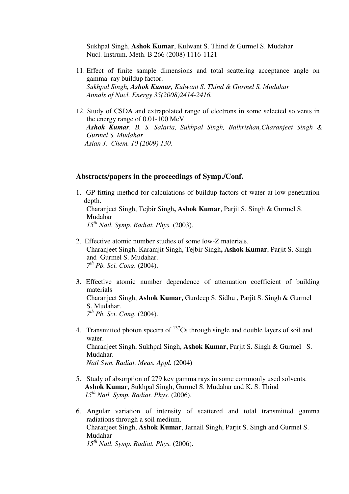Sukhpal Singh, **Ashok Kumar**, Kulwant S. Thind & Gurmel S. Mudahar Nucl. Instrum. Meth. B 266 (2008) 1116-1121

- 11. Effect of finite sample dimensions and total scattering acceptance angle on gamma ray buildup factor. *Sukhpal Singh, Ashok Kumar, Kulwant S. Thind & Gurmel S. Mudahar Annals of Nucl. Energy 35(2008)2414-2416.*
- 12. Study of CSDA and extrapolated range of electrons in some selected solvents in the energy range of 0.01-100 MeV *Ashok Kumar, B. S. Salaria, Sukhpal Singh, Balkrishan,Charanjeet Singh & Gurmel S. Mudahar Asian J. Chem. 10 (2009) 130.*

#### **Abstracts/papers in the proceedings of Symp./Conf.**

- 1. GP fitting method for calculations of buildup factors of water at low penetration depth. Charanjeet Singh, Tejbir Singh**, Ashok Kumar**, Parjit S. Singh & Gurmel S. Mudahar *15th Natl. Symp. Radiat. Phys.* (2003).
- 2. Effective atomic number studies of some low-Z materials. Charanjeet Singh, Karamjit Singh, Tejbir Singh**, Ashok Kumar**, Parjit S. Singh and Gurmel S. Mudahar. *7 th Pb. Sci. Cong.* (2004).
- 3. Effective atomic number dependence of attenuation coefficient of building materials Charanjeet Singh, **Ashok Kumar,** Gurdeep S. Sidhu , Parjit S. Singh & Gurmel S. Mudahar. *7 th Pb. Sci. Cong.* (2004).
- 4. Transmitted photon spectra of  $^{137}Cs$  through single and double layers of soil and water. Charanjeet Singh, Sukhpal Singh, **Ashok Kumar,** Parjit S. Singh & Gurmel S. Mudahar. *Natl Sym. Radiat. Meas. Appl.* (2004)
- 5. Study of absorption of 279 kev gamma rays in some commonly used solvents.  **Ashok Kumar,** Sukhpal Singh, Gurmel S. Mudahar and K. S. Thind *15th Natl. Symp. Radiat. Phys.* (2006).
- 6. Angular variation of intensity of scattered and total transmitted gamma radiations through a soil medium. Charanjeet Singh, **Ashok Kumar**, Jarnail Singh, Parjit S. Singh and Gurmel S. Mudahar  *15th Natl. Symp. Radiat. Phys.* (2006).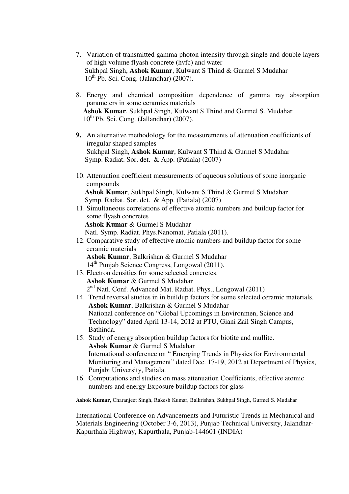- 7. Variation of transmitted gamma photon intensity through single and double layers of high volume flyash concrete (hvfc) and water Sukhpal Singh, **Ashok Kumar**, Kulwant S Thind & Gurmel S Mudahar  $10^{th}$  Pb. Sci. Cong. (Jalandhar) (2007).
- 8. Energy and chemical composition dependence of gamma ray absorption parameters in some ceramics materials **Ashok Kumar**, Sukhpal Singh, Kulwant S Thind and Gurmel S. Mudahar  $10^{th}$  Pb. Sci. Cong. (Jallandhar) (2007).
- **9.** An alternative methodology for the measurements of attenuation coefficients of irregular shaped samples Sukhpal Singh, **Ashok Kumar**, Kulwant S Thind & Gurmel S Mudahar Symp. Radiat. Sor. det. & App. (Patiala) (2007)
- 10. Attenuation coefficient measurements of aqueous solutions of some inorganic compounds

 **Ashok Kumar**, Sukhpal Singh, Kulwant S Thind & Gurmel S Mudahar Symp. Radiat. Sor. det. & App. (Patiala) (2007)

11. Simultaneous correlations of effective atomic numbers and buildup factor for some flyash concretes  **Ashok Kumar** & Gurmel S Mudahar

Natl. Symp. Radiat. Phys.Nanomat, Patiala (2011).

12. Comparative study of effective atomic numbers and buildup factor for some ceramic materials **Ashok Kumar**, Balkrishan & Gurmel S Mudahar

14th Punjab Science Congress, Longowal (2011).

- 13. Electron densities for some selected concretes. **Ashok Kumar** & Gurmel S Mudahar 2<sup>nd</sup> Natl. Conf. Advanced Mat. Radiat. Phys., Longowal (2011)
- 14. Trend reversal studies in in buildup factors for some selected ceramic materials. **Ashok Kumar**, Balkrishan & Gurmel S Mudahar National conference on "Global Upcomings in Environmen, Science and Technology" dated April 13-14, 2012 at PTU, Giani Zail Singh Campus, Bathinda.
- 15. Study of energy absorption buildup factors for biotite and mullite. **Ashok Kumar** & Gurmel S Mudahar International conference on " Emerging Trends in Physics for Environmental Monitoring and Management" dated Dec. 17-19, 2012 at Department of Physics, Punjabi University, Patiala.
- 16. Computations and studies on mass attenuation Coefficients, effective atomic numbers and energy Exposure buildup factors for glass

**Ashok Kumar,** Charanjeet Singh, Rakesh Kumar, Balkrishan, Sukhpal Singh, Gurmel S. Mudahar

International Conference on Advancements and Futuristic Trends in Mechanical and Materials Engineering (October 3-6, 2013), Punjab Technical University, Jalandhar-Kapurthala Highway, Kapurthala, Punjab-144601 (INDIA)